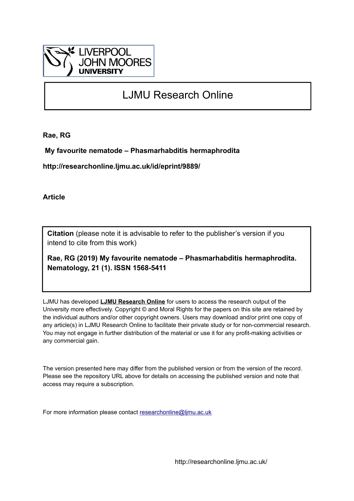

## LJMU Research Online

**Rae, RG**

 **My favourite nematode – Phasmarhabditis hermaphrodita**

**http://researchonline.ljmu.ac.uk/id/eprint/9889/**

**Article**

**Citation** (please note it is advisable to refer to the publisher's version if you intend to cite from this work)

**Rae, RG (2019) My favourite nematode – Phasmarhabditis hermaphrodita. Nematology, 21 (1). ISSN 1568-5411** 

LJMU has developed **[LJMU Research Online](http://researchonline.ljmu.ac.uk/)** for users to access the research output of the University more effectively. Copyright © and Moral Rights for the papers on this site are retained by the individual authors and/or other copyright owners. Users may download and/or print one copy of any article(s) in LJMU Research Online to facilitate their private study or for non-commercial research. You may not engage in further distribution of the material or use it for any profit-making activities or any commercial gain.

The version presented here may differ from the published version or from the version of the record. Please see the repository URL above for details on accessing the published version and note that access may require a subscription.

For more information please contact [researchonline@ljmu.ac.uk](mailto:researchonline@ljmu.ac.uk)

http://researchonline.ljmu.ac.uk/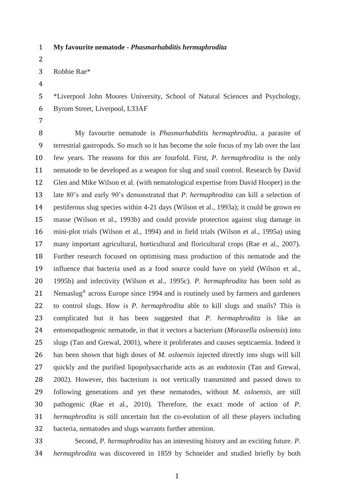## **My favourite nematode -** *Phasmarhabditis hermaphrodita*

 Robbie Rae\*

 \*Liverpool John Moores University, School of Natural Sciences and Psychology, Byrom Street, Liverpool, L33AF

 My favourite nematode is *Phasmarhabditis hermaphrodita,* a parasite of terrestrial gastropods. So much so it has become the sole focus of my lab over the last few years. The reasons for this are fourfold. First, *P. hermaphrodita* is the only nematode to be developed as a weapon for slug and snail control. Research by David Glen and Mike Wilson et al. (with nematological expertise from David Hooper) in the late 80's and early 90's demonstrated that *P. hermaphrodita* can kill a selection of pestiferous slug species within 4-21 days (Wilson et al., 1993a); it could be grown en masse (Wilson et al., 1993b) and could provide protection against slug damage in mini-plot trials (Wilson et al., 1994) and in field trials (Wilson et al., 1995a) using many important agricultural, horticultural and floricultural crops (Rae et al., 2007). Further research focused on optimising mass production of this nematode and the influence that bacteria used as a food source could have on yield (Wilson et al., 1995b) and infectivity (Wilson et al., 1995c). *P. hermaphrodita* has been sold as 21 Nemaslug<sup>®</sup> across Europe since 1994 and is routinely used by farmers and gardeners to control slugs. How is *P. hermaphrodita* able to kill slugs and snails? This is complicated but it has been suggested that *P. hermaphrodita* is like an entomopathogenic nematode, in that it vectors a bacterium (*Moraxella osloensis*) into slugs (Tan and Grewal, 2001), where it proliferates and causes septicaemia. Indeed it has been shown that high doses of *M. osloensis* injected directly into slugs will kill quickly and the purified lipopolysaccharide acts as an endotoxin (Tan and Grewal, 2002). However, this bacterium is not vertically transmitted and passed down to following generations and yet these nematodes, without *M. osloensis*, are still pathogenic (Rae et al., 2010). Therefore, the exact mode of action of *P. hermaphrodita* is still uncertain but the co-evolution of all these players including bacteria, nematodes and slugs warrants further attention.

 Second, *P. hermaphrodita* has an interesting history and an exciting future. *P. hermaphrodita* was discovered in 1859 by Schneider and studied briefly by both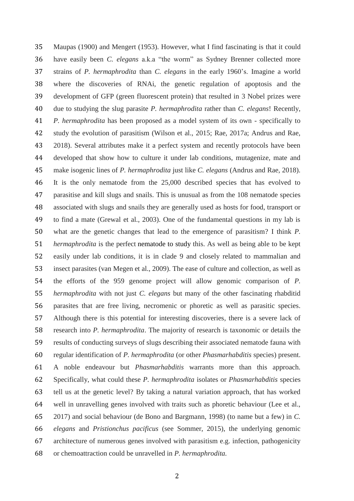Maupas (1900) and Mengert (1953). However, what I find fascinating is that it could have easily been *C. elegans* a.k.a "the worm" as Sydney Brenner collected more strains of *P. hermaphrodita* than *C. elegans* in the early 1960's. Imagine a world where the discoveries of RNAi, the genetic regulation of apoptosis and the development of GFP (green fluorescent protein) that resulted in 3 Nobel prizes were due to studying the slug parasite *P. hermaphrodita* rather than *C. elegans*! Recently, *P. hermaphrodita* has been proposed as a model system of its own - specifically to study the evolution of parasitism (Wilson et al., 2015; Rae, 2017a; Andrus and Rae, 2018). Several attributes make it a perfect system and recently protocols have been developed that show how to culture it under lab conditions, mutagenize, mate and make isogenic lines of *P. hermaphrodita* just like *C. elegans* (Andrus and Rae, 2018). It is the only nematode from the 25,000 described species that has evolved to parasitise and kill slugs and snails. This is unusual as from the 108 nematode species associated with slugs and snails they are generally used as hosts for food, transport or to find a mate (Grewal et al., 2003). One of the fundamental questions in my lab is what are the genetic changes that lead to the emergence of parasitism? I think *P. hermaphrodita* is the perfect nematode to study this. As well as being able to be kept easily under lab conditions, it is in clade 9 and closely related to mammalian and insect parasites (van Megen et al., 2009). The ease of culture and collection, as well as the efforts of the 959 genome project will allow genomic comparison of *P. hermaphrodita* with not just *C. elegans* but many of the other fascinating rhabditid parasites that are free living, necromenic or phoretic as well as parasitic species. Although there is this potential for interesting discoveries, there is a severe lack of research into *P. hermaphrodita*. The majority of research is taxonomic or details the results of conducting surveys of slugs describing their associated nematode fauna with regular identification of *P. hermaphrodita* (or other *Phasmarhabditis* species) present. A noble endeavour but *Phasmarhabditis* warrants more than this approach. Specifically, what could these *P. hermaphrodita* isolates or *Phasmarhabditis* species tell us at the genetic level? By taking a natural variation approach, that has worked well in unravelling genes involved with traits such as phoretic behaviour (Lee et al., 2017) and social behaviour (de Bono and Bargmann, 1998) (to name but a few) in *C. elegans* and *Pristionchus pacificus* (see Sommer, 2015), the underlying genomic architecture of numerous genes involved with parasitism e.g. infection, pathogenicity or chemoattraction could be unravelled in *P. hermaphrodita.*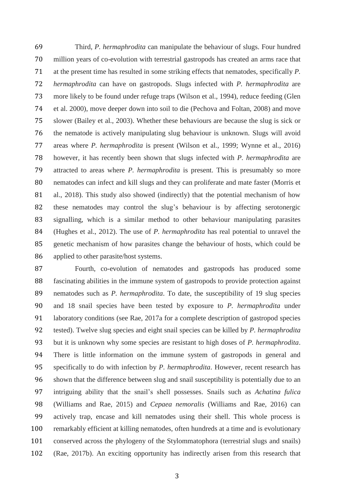Third, *P. hermaphrodita* can manipulate the behaviour of slugs. Four hundred million years of co-evolution with terrestrial gastropods has created an arms race that at the present time has resulted in some striking effects that nematodes, specifically *P. hermaphrodita* can have on gastropods. Slugs infected with *P. hermaphrodita* are more likely to be found under refuge traps (Wilson et al., 1994), reduce feeding (Glen et al. 2000), move deeper down into soil to die (Pechova and Foltan, 2008) and move slower (Bailey et al., 2003). Whether these behaviours are because the slug is sick or the nematode is actively manipulating slug behaviour is unknown. Slugs will avoid areas where *P. hermaphrodita* is present (Wilson et al., 1999; Wynne et al., 2016) however, it has recently been shown that slugs infected with *P. hermaphrodita* are attracted to areas where *P. hermaphrodita* is present. This is presumably so more nematodes can infect and kill slugs and they can proliferate and mate faster (Morris et al., 2018). This study also showed (indirectly) that the potential mechanism of how these nematodes may control the slug's behaviour is by affecting serotonergic signalling, which is a similar method to other behaviour manipulating parasites (Hughes et al., 2012). The use of *P. hermaphrodita* has real potential to unravel the genetic mechanism of how parasites change the behaviour of hosts, which could be applied to other parasite/host systems.

 Fourth, co-evolution of nematodes and gastropods has produced some fascinating abilities in the immune system of gastropods to provide protection against nematodes such as *P. hermaphrodita*. To date, the susceptibility of 19 slug species and 18 snail species have been tested by exposure to *P. hermaphrodita* under laboratory conditions (see Rae, 2017a for a complete description of gastropod species tested). Twelve slug species and eight snail species can be killed by *P. hermaphrodita* but it is unknown why some species are resistant to high doses of *P. hermaphrodita*. There is little information on the immune system of gastropods in general and specifically to do with infection by *P. hermaphrodita*. However, recent research has shown that the difference between slug and snail susceptibility is potentially due to an intriguing ability that the snail's shell possesses. Snails such as *Achatina fulica* (Williams and Rae, 2015) and *Cepaea nemoralis* (Williams and Rae, 2016) can actively trap, encase and kill nematodes using their shell. This whole process is remarkably efficient at killing nematodes, often hundreds at a time and is evolutionary conserved across the phylogeny of the Stylommatophora (terrestrial slugs and snails) (Rae, 2017b). An exciting opportunity has indirectly arisen from this research that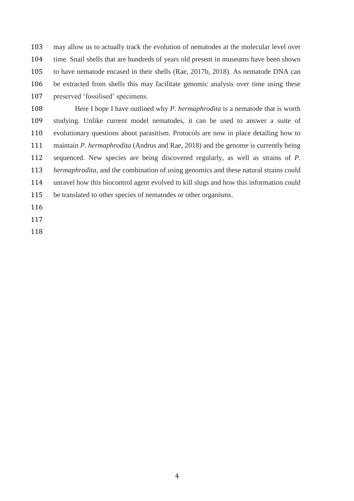may allow us to actually track the evolution of nematodes at the molecular level over time. Snail shells that are hundreds of years old present in museums have been shown to have nematode encased in their shells (Rae, 2017b, 2018). As nematode DNA can be extracted from shells this may facilitate genomic analysis over time using these preserved 'fossilised' specimens.

 Here I hope I have outlined why *P. hermaphrodita* is a nematode that is worth studying. Unlike current model nematodes, it can be used to answer a suite of evolutionary questions about parasitism. Protocols are now in place detailing how to maintain *P. hermaphrodita* (Andrus and Rae, 2018) and the genome is currently being sequenced. New species are being discovered regularly, as well as strains of *P. hermaphrodita,* and the combination of using genomics and these natural strains could unravel how this biocontrol agent evolved to kill slugs and how this information could be translated to other species of nematodes or other organisms. 

- 
-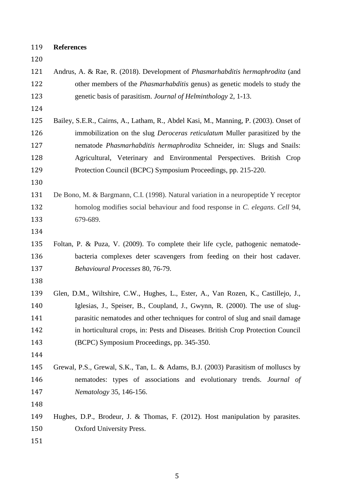## **References**

| 120 |                                                                                       |  |  |  |  |  |
|-----|---------------------------------------------------------------------------------------|--|--|--|--|--|
| 121 | Andrus, A. & Rae, R. (2018). Development of <i>Phasmarhabditis hermaphrodita</i> (and |  |  |  |  |  |
| 122 | other members of the <i>Phasmarhabditis</i> genus) as genetic models to study the     |  |  |  |  |  |
| 123 | genetic basis of parasitism. Journal of Helminthology 2, 1-13.                        |  |  |  |  |  |
| 124 |                                                                                       |  |  |  |  |  |
| 125 | Bailey, S.E.R., Cairns, A., Latham, R., Abdel Kasi, M., Manning, P. (2003). Onset of  |  |  |  |  |  |
| 126 | immobilization on the slug <i>Deroceras reticulatum</i> Muller parasitized by the     |  |  |  |  |  |
| 127 | nematode <i>Phasmarhabditis hermaphrodita</i> Schneider, in: Slugs and Snails:        |  |  |  |  |  |
| 128 | Agricultural, Veterinary and Environmental Perspectives. British Crop                 |  |  |  |  |  |
| 129 | Protection Council (BCPC) Symposium Proceedings, pp. 215-220.                         |  |  |  |  |  |
| 130 |                                                                                       |  |  |  |  |  |
| 131 | De Bono, M. & Bargmann, C.I. (1998). Natural variation in a neuropeptide Y receptor   |  |  |  |  |  |
| 132 | homolog modifies social behaviour and food response in C. elegans. Cell 94,           |  |  |  |  |  |
| 133 | 679-689.                                                                              |  |  |  |  |  |
| 134 |                                                                                       |  |  |  |  |  |
| 135 | Foltan, P. & Puza, V. (2009). To complete their life cycle, pathogenic nematode-      |  |  |  |  |  |
| 136 | bacteria complexes deter scavengers from feeding on their host cadaver.               |  |  |  |  |  |
| 137 | Behavioural Processes 80, 76-79.                                                      |  |  |  |  |  |
| 138 |                                                                                       |  |  |  |  |  |
| 139 | Glen, D.M., Wiltshire, C.W., Hughes, L., Ester, A., Van Rozen, K., Castillejo, J.,    |  |  |  |  |  |
| 140 | Iglesias, J., Speiser, B., Coupland, J., Gwynn, R. (2000). The use of slug-           |  |  |  |  |  |
| 141 | parasitic nematodes and other techniques for control of slug and snail damage         |  |  |  |  |  |
| 142 | in horticultural crops, in: Pests and Diseases. British Crop Protection Council       |  |  |  |  |  |
| 143 | (BCPC) Symposium Proceedings, pp. 345-350.                                            |  |  |  |  |  |
| 144 |                                                                                       |  |  |  |  |  |
| 145 | Grewal, P.S., Grewal, S.K., Tan, L. & Adams, B.J. (2003) Parasitism of molluscs by    |  |  |  |  |  |
| 146 | nematodes: types of associations and evolutionary trends. Journal of                  |  |  |  |  |  |
| 147 | Nematology 35, 146-156.                                                               |  |  |  |  |  |
| 148 |                                                                                       |  |  |  |  |  |
| 149 | Hughes, D.P., Brodeur, J. & Thomas, F. (2012). Host manipulation by parasites.        |  |  |  |  |  |
| 150 | Oxford University Press.                                                              |  |  |  |  |  |
| 151 |                                                                                       |  |  |  |  |  |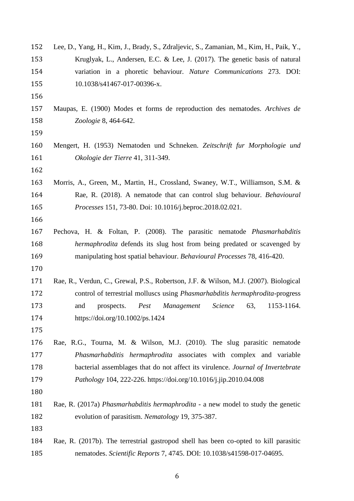| 152 | Lee, D., Yang, H., Kim, J., Brady, S., Zdraljevic, S., Zamanian, M., Kim, H., Paik, Y., |  |  |  |  |  |
|-----|-----------------------------------------------------------------------------------------|--|--|--|--|--|
| 153 | Kruglyak, L., Andersen, E.C. & Lee, J. (2017). The genetic basis of natural             |  |  |  |  |  |
| 154 | variation in a phoretic behaviour. Nature Communications 273. DOI:                      |  |  |  |  |  |
| 155 | 10.1038/s41467-017-00396-x.                                                             |  |  |  |  |  |
| 156 |                                                                                         |  |  |  |  |  |
| 157 | Maupas, E. (1900) Modes et forms de reproduction des nematodes. Archives de             |  |  |  |  |  |
| 158 | Zoologie 8, 464-642.                                                                    |  |  |  |  |  |
| 159 |                                                                                         |  |  |  |  |  |
| 160 | Mengert, H. (1953) Nematoden und Schneken. Zeitschrift fur Morphologie und              |  |  |  |  |  |
| 161 | Okologie der Tierre 41, 311-349.                                                        |  |  |  |  |  |
| 162 |                                                                                         |  |  |  |  |  |
| 163 | Morris, A., Green, M., Martin, H., Crossland, Swaney, W.T., Williamson, S.M. &          |  |  |  |  |  |
| 164 | Rae, R. (2018). A nematode that can control slug behaviour. <i>Behavioural</i>          |  |  |  |  |  |
| 165 | <i>Processes</i> 151, 73-80. Doi: 10.1016/j.beproc.2018.02.021.                         |  |  |  |  |  |
| 166 |                                                                                         |  |  |  |  |  |
| 167 | Pechova, H. & Foltan, P. (2008). The parasitic nematode <i>Phasmarhabditis</i>          |  |  |  |  |  |
| 168 | hermaphrodita defends its slug host from being predated or scavenged by                 |  |  |  |  |  |
| 169 | manipulating host spatial behaviour. Behavioural Processes 78, 416-420.                 |  |  |  |  |  |
| 170 |                                                                                         |  |  |  |  |  |
| 171 | Rae, R., Verdun, C., Grewal, P.S., Robertson, J.F. & Wilson, M.J. (2007). Biological    |  |  |  |  |  |
| 172 | control of terrestrial molluscs using <i>Phasmarhabditis hermaphrodita</i> -progress    |  |  |  |  |  |
| 173 | Science<br>63,<br>1153-1164.<br>and<br>Pest<br>Management<br>prospects.                 |  |  |  |  |  |
| 174 | https://doi.org/10.1002/ps.1424                                                         |  |  |  |  |  |
| 175 |                                                                                         |  |  |  |  |  |
| 176 | Rae, R.G., Tourna, M. & Wilson, M.J. (2010). The slug parasitic nematode                |  |  |  |  |  |
| 177 | Phasmarhabditis hermaphrodita associates with complex and variable                      |  |  |  |  |  |
| 178 | bacterial assemblages that do not affect its virulence. Journal of Invertebrate         |  |  |  |  |  |
| 179 | Pathology 104, 222-226. https://doi.org/10.1016/j.jip.2010.04.008                       |  |  |  |  |  |
| 180 |                                                                                         |  |  |  |  |  |
| 181 | Rae, R. (2017a) Phasmarhabditis hermaphrodita - a new model to study the genetic        |  |  |  |  |  |
| 182 | evolution of parasitism. Nematology 19, 375-387.                                        |  |  |  |  |  |
| 183 |                                                                                         |  |  |  |  |  |
| 184 | Rae, R. (2017b). The terrestrial gastropod shell has been co-opted to kill parasitic    |  |  |  |  |  |
| 185 | nematodes. Scientific Reports 7, 4745. DOI: 10.1038/s41598-017-04695.                   |  |  |  |  |  |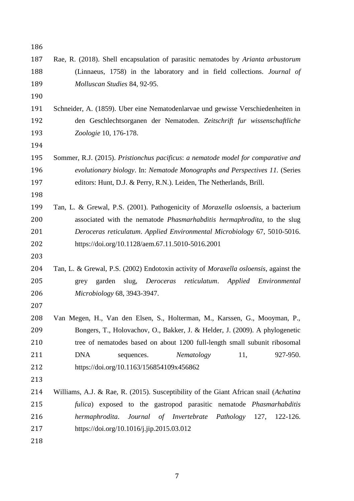| 186 |                                                                                          |  |  |  |  |  |  |
|-----|------------------------------------------------------------------------------------------|--|--|--|--|--|--|
| 187 | Rae, R. (2018). Shell encapsulation of parasitic nematodes by Arianta arbustorum         |  |  |  |  |  |  |
| 188 | (Linnaeus, 1758) in the laboratory and in field collections. Journal of                  |  |  |  |  |  |  |
| 189 | Molluscan Studies 84, 92-95.                                                             |  |  |  |  |  |  |
| 190 |                                                                                          |  |  |  |  |  |  |
| 191 | Schneider, A. (1859). Uber eine Nematodenlarvae und gewisse Verschiedenheiten in         |  |  |  |  |  |  |
| 192 | den Geschlechtsorganen der Nematoden. Zeitschrift fur wissenschaftliche                  |  |  |  |  |  |  |
| 193 | Zoologie 10, 176-178.                                                                    |  |  |  |  |  |  |
| 194 |                                                                                          |  |  |  |  |  |  |
| 195 | Sommer, R.J. (2015). Pristionchus pacificus: a nematode model for comparative and        |  |  |  |  |  |  |
| 196 | evolutionary biology. In: Nematode Monographs and Perspectives 11. (Series               |  |  |  |  |  |  |
| 197 | editors: Hunt, D.J. & Perry, R.N.). Leiden, The Netherlands, Brill.                      |  |  |  |  |  |  |
| 198 |                                                                                          |  |  |  |  |  |  |
| 199 | Tan, L. & Grewal, P.S. (2001). Pathogenicity of <i>Moraxella osloensis</i> , a bacterium |  |  |  |  |  |  |
| 200 | associated with the nematode <i>Phasmarhabditis hermaphrodita</i> , to the slug          |  |  |  |  |  |  |
| 201 | Deroceras reticulatum. Applied Environmental Microbiology 67, 5010-5016.                 |  |  |  |  |  |  |
| 202 | https://doi.org/10.1128/aem.67.11.5010-5016.2001                                         |  |  |  |  |  |  |
| 203 |                                                                                          |  |  |  |  |  |  |
| 204 | Tan, L. & Grewal, P.S. (2002) Endotoxin activity of Moraxella osloensis, against the     |  |  |  |  |  |  |
| 205 | reticulatum.<br>Applied Environmental<br>garden<br>slug, Deroceras<br>grey               |  |  |  |  |  |  |
| 206 | Microbiology 68, 3943-3947.                                                              |  |  |  |  |  |  |
| 207 |                                                                                          |  |  |  |  |  |  |
| 208 | Van Megen, H., Van den Elsen, S., Holterman, M., Karssen, G., Mooyman, P.,               |  |  |  |  |  |  |
| 209 | Bongers, T., Holovachov, O., Bakker, J. & Helder, J. (2009). A phylogenetic              |  |  |  |  |  |  |
| 210 | tree of nematodes based on about 1200 full-length small subunit ribosomal                |  |  |  |  |  |  |
| 211 | <b>DNA</b><br>Nematology<br>11,<br>927-950.<br>sequences.                                |  |  |  |  |  |  |
| 212 | https://doi.org/10.1163/156854109x456862                                                 |  |  |  |  |  |  |
| 213 |                                                                                          |  |  |  |  |  |  |
| 214 | Williams, A.J. & Rae, R. (2015). Susceptibility of the Giant African snail (Achatina     |  |  |  |  |  |  |
| 215 | fulica) exposed to the gastropod parasitic nematode Phasmarhabditis                      |  |  |  |  |  |  |
| 216 | hermaphrodita. Journal of Invertebrate Pathology 127, 122-126.                           |  |  |  |  |  |  |
| 217 | https://doi.org/10.1016/j.jip.2015.03.012                                                |  |  |  |  |  |  |
| 218 |                                                                                          |  |  |  |  |  |  |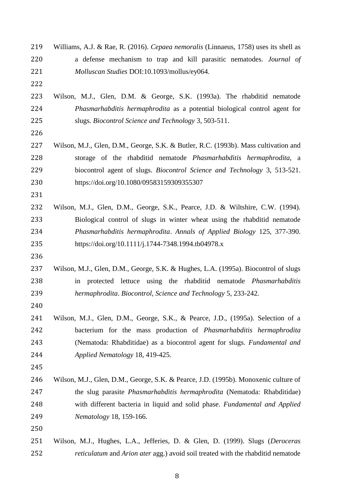| 219 | Williams, A.J. & Rae, R. (2016). Cepaea nemoralis (Linnaeus, 1758) uses its shell as |  |  |  |  |  |  |
|-----|--------------------------------------------------------------------------------------|--|--|--|--|--|--|
| 220 | a defense mechanism to trap and kill parasitic nematodes. Journal of                 |  |  |  |  |  |  |
| 221 | Molluscan Studies DOI:10.1093/mollus/ey064.                                          |  |  |  |  |  |  |
| 222 |                                                                                      |  |  |  |  |  |  |
| 223 | Wilson, M.J., Glen, D.M. & George, S.K. (1993a). The rhabditid nematode              |  |  |  |  |  |  |
| 224 | Phasmarhabditis hermaphrodita as a potential biological control agent for            |  |  |  |  |  |  |
| 225 | slugs. Biocontrol Science and Technology 3, 503-511.                                 |  |  |  |  |  |  |
| 226 |                                                                                      |  |  |  |  |  |  |
| 227 | Wilson, M.J., Glen, D.M., George, S.K. & Butler, R.C. (1993b). Mass cultivation and  |  |  |  |  |  |  |
| 228 | storage of the rhabditid nematode <i>Phasmarhabditis hermaphrodita</i> , a           |  |  |  |  |  |  |
| 229 | biocontrol agent of slugs. <i>Biocontrol Science and Technology</i> 3, 513-521.      |  |  |  |  |  |  |
| 230 | https://doi.org/10.1080/09583159309355307                                            |  |  |  |  |  |  |
| 231 |                                                                                      |  |  |  |  |  |  |
| 232 | Wilson, M.J., Glen, D.M., George, S.K., Pearce, J.D. & Wiltshire, C.W. (1994).       |  |  |  |  |  |  |
| 233 | Biological control of slugs in winter wheat using the rhabditid nematode             |  |  |  |  |  |  |
| 234 | Phasmarhabditis hermaphrodita. Annals of Applied Biology 125, 377-390.               |  |  |  |  |  |  |
| 235 | https://doi.org/10.1111/j.1744-7348.1994.tb04978.x                                   |  |  |  |  |  |  |
| 236 |                                                                                      |  |  |  |  |  |  |
| 237 | Wilson, M.J., Glen, D.M., George, S.K. & Hughes, L.A. (1995a). Biocontrol of slugs   |  |  |  |  |  |  |
| 238 | protected lettuce using the rhabditid nematode <i>Phasmarhabditis</i><br>in          |  |  |  |  |  |  |
| 239 | hermaphrodita. Biocontrol, Science and Technology 5, 233-242.                        |  |  |  |  |  |  |
| 240 |                                                                                      |  |  |  |  |  |  |
| 241 | Wilson, M.J., Glen, D.M., George, S.K., & Pearce, J.D., (1995a). Selection of a      |  |  |  |  |  |  |
| 242 | bacterium for the mass production of Phasmarhabditis hermaphrodita                   |  |  |  |  |  |  |
| 243 | (Nematoda: Rhabditidae) as a biocontrol agent for slugs. Fundamental and             |  |  |  |  |  |  |
| 244 | Applied Nematology 18, 419-425.                                                      |  |  |  |  |  |  |
| 245 |                                                                                      |  |  |  |  |  |  |
| 246 | Wilson, M.J., Glen, D.M., George, S.K. & Pearce, J.D. (1995b). Monoxenic culture of  |  |  |  |  |  |  |
| 247 | the slug parasite <i>Phasmarhabditis hermaphrodita</i> (Nematoda: Rhabditidae)       |  |  |  |  |  |  |
| 248 | with different bacteria in liquid and solid phase. Fundamental and Applied           |  |  |  |  |  |  |
| 249 | Nematology 18, 159-166.                                                              |  |  |  |  |  |  |
| 250 |                                                                                      |  |  |  |  |  |  |
| 251 | Wilson, M.J., Hughes, L.A., Jefferies, D. & Glen, D. (1999). Slugs (Deroceras        |  |  |  |  |  |  |
| 252 | reticulatum and Arion ater agg.) avoid soil treated with the rhabditid nematode      |  |  |  |  |  |  |